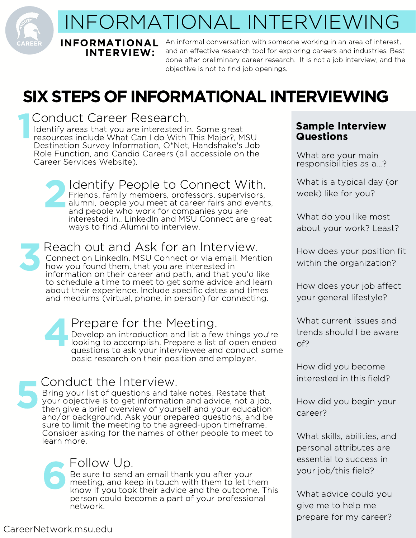# INFORMATIONAL INTERVIEWING

INFORMATIONAL INTERVIEW:

1

An informal conversation with someone working in an area of interest, and an effective research tool for exploring careers and industries. Best done after preliminary career research. It is not a job interview, and the objective is not to find job openings.

# SIX STEPS OF INFORMATIONAL INTERVIEWING

Conduct Career Research. Identify areas that you are interested in. Some great resources include What Can I do With This Major?, MSU Destination Survey Information, O\*Net, Handshake's Job Role Function, and Candid Careers (all accessible on the Career Services Website). 2 Identify People to Connect With. Friends, family members, professors, supervisors, alumni, people you meet at career fairs and events, and people who work for companies you are interested in.. LinkedIn and MSU Connect are great ways to find Alumni to interview. 3 Reach out and Ask for an Interview. Connect on LinkedIn, MSU Connect or via email. Mention how you found them, that you are interested in information on their career and path, and that you'd like to schedule a time to meet to get some advice and learn about their experience. Include specific dates and times and mediums (virtual, phone, in person) for connecting.

4 Prepare for the Meeting. Develop an introduction and list a few things you're looking to accomplish. Prepare a list of open ended questions to ask your interviewee and conduct some basic research on their position and employer.

# 5 Conduct the Interview.

Bring your list of questions and take notes. Restate that your objective is to get information and advice, not a job, then give a brief overview of yourself and your education and/or background. Ask your prepared questions, and be sure to limit the meeting to the agreed-upon timeframe. Consider asking for the names of other people to meet to learn more.

# 6 Follow Up.

Be sure to send an email thank you after your meeting, and keep in touch with them to let them know if you took their advice and the outcome. This person could become a part of your professional network.

## Sample Interview Questions

What are your main responsibilities as a...?

What is a typical day (or week) like for you?

What do you like most about your work? Least?

How does your position fit within the organization?

How does your job affect your general lifestyle?

What current issues and trends should I be aware of?

How did you become interested in this field?

How did you begin your career?

What skills, abilities, and personal attributes are essential to success in your job/this field?

What advice could you give me to help me prepare for my career?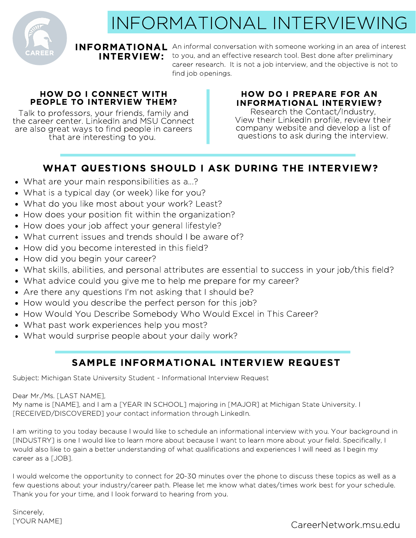

# INFORMATIONAL INTERVIEWING

## INTERVIEW:

INFORMATIONAL An informal conversation with someone working in an area of interest to you, and an effective research tool. Best done after preliminary career research. It is not a job interview, and the objective is not to find job openings.

### HOW DO I CONNECT WITH PEOPLE TO INTERVIEW THEM?

Talk to professors, your friends, family and the career center. LinkedIn and MSU Connect are also great ways to find people in careers that are interesting to you.

## HOW DO I PREPARE FOR AN INFORMATIONAL INTERVIEW?

Research the Contact/Industry, View their LinkedIn profile, review their company website and develop a list of questions to ask during the interview.

## WHAT QUESTIONS SHOULD I ASK DURING THE INTERVIEW?

- What are your main responsibilities as a...?
- What is a typical day (or week) like for you?
- What do you like most about your work? Least?
- How does your position fit within the organization?
- How does your job affect your general lifestyle?
- What current issues and trends should I be aware of?
- How did you become interested in this field?
- How did you begin your career?
- What skills, abilities, and personal attributes are essential to success in your job/this field?
- What advice could you give me to help me prepare for my career?
- Are there any questions I'm not asking that I should be?
- How would you describe the perfect person for this job?
- How Would You Describe Somebody Who Would Excel in This Career?
- What past work experiences help you most?
- What would surprise people about your daily work?

## SAMPLE INFORMATIONAL INTERVIEW REQUEST

Subject: Michigan State University Student - Informational Interview Request

Dear Mr./Ms. [LAST NAME],

My name is [NAME], and I am a [YEAR IN SCHOOL] majoring in [MAJOR] at Michigan State University. I [RECEIVED/DISCOVERED] your contact information through LinkedIn.

I am writing to you today because I would like to schedule an informational interview with you. Your background in [INDUSTRY] is one I would like to learn more about because I want to learn more about your field. Specifically, I would also like to gain a better understanding of what qualifications and experiences I will need as I begin my career as a [JOB].

I would welcome the opportunity to connect for 20-30 minutes over the phone to discuss these topics as well as a few questions about your industry/career path. Please let me know what dates/times work best for your schedule. Thank you for your time, and I look forward to hearing from you.

Sincerely, [YOUR NAME]